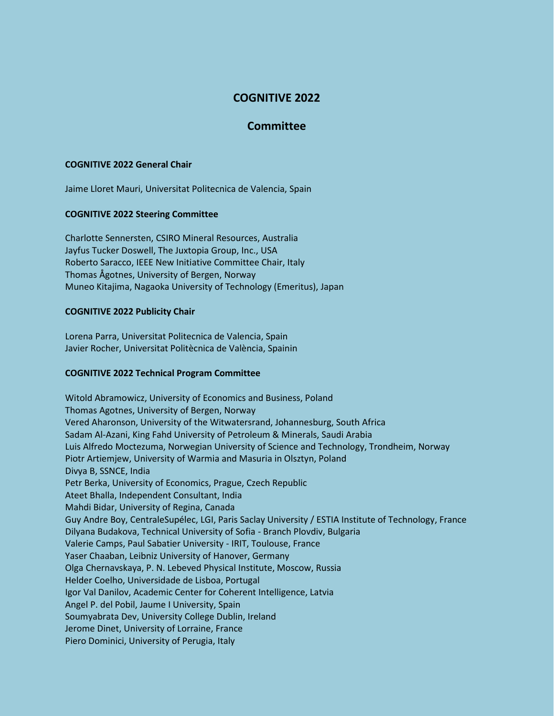# **COGNITIVE 2022**

## **Committee**

#### **COGNITIVE 2022 General Chair**

Jaime Lloret Mauri, Universitat Politecnica de Valencia, Spain

#### **COGNITIVE 2022 Steering Committee**

Charlotte Sennersten, CSIRO Mineral Resources, Australia Jayfus Tucker Doswell, The Juxtopia Group, Inc., USA Roberto Saracco, IEEE New Initiative Committee Chair, Italy Thomas Ågotnes, University of Bergen, Norway Muneo Kitajima, Nagaoka University of Technology (Emeritus), Japan

#### **COGNITIVE 2022 Publicity Chair**

Lorena Parra, Universitat Politecnica de Valencia, Spain Javier Rocher, Universitat Politècnica de València, Spainin

### **COGNITIVE 2022 Technical Program Committee**

Witold Abramowicz, University of Economics and Business, Poland Thomas Agotnes, University of Bergen, Norway Vered Aharonson, University of the Witwatersrand, Johannesburg, South Africa Sadam Al-Azani, King Fahd University of Petroleum & Minerals, Saudi Arabia Luis Alfredo Moctezuma, Norwegian University of Science and Technology, Trondheim, Norway Piotr Artiemjew, University of Warmia and Masuria in Olsztyn, Poland Divya B, SSNCE, India Petr Berka, University of Economics, Prague, Czech Republic Ateet Bhalla, Independent Consultant, India Mahdi Bidar, University of Regina, Canada Guy Andre Boy, CentraleSupélec, LGI, Paris Saclay University / ESTIA Institute of Technology, France Dilyana Budakova, Technical University of Sofia - Branch Plovdiv, Bulgaria Valerie Camps, Paul Sabatier University - IRIT, Toulouse, France Yaser Chaaban, Leibniz University of Hanover, Germany Olga Chernavskaya, P. N. Lebeved Physical Institute, Moscow, Russia Helder Coelho, Universidade de Lisboa, Portugal Igor Val Danilov, Academic Center for Coherent Intelligence, Latvia Angel P. del Pobil, Jaume I University, Spain Soumyabrata Dev, University College Dublin, Ireland Jerome Dinet, University of Lorraine, France Piero Dominici, University of Perugia, Italy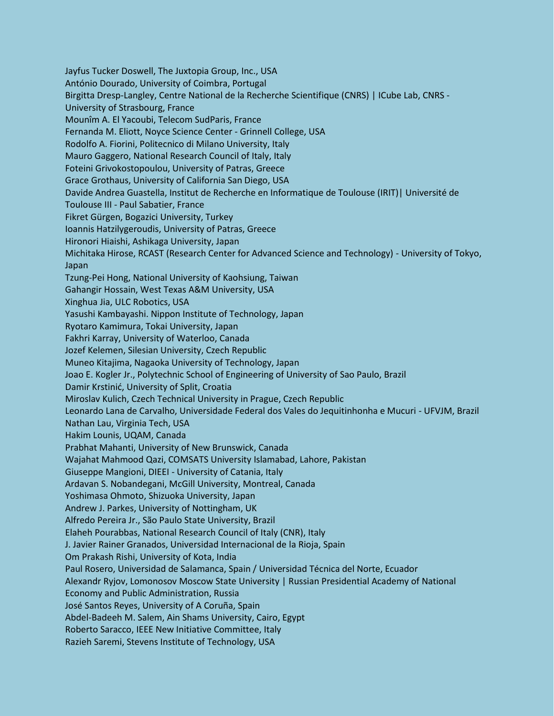Jayfus Tucker Doswell, The Juxtopia Group, Inc., USA António Dourado, University of Coimbra, Portugal Birgitta Dresp-Langley, Centre National de la Recherche Scientifique (CNRS) | ICube Lab, CNRS - University of Strasbourg, France Mounîm A. El Yacoubi, Telecom SudParis, France Fernanda M. Eliott, Noyce Science Center - Grinnell College, USA Rodolfo A. Fiorini, Politecnico di Milano University, Italy Mauro Gaggero, National Research Council of Italy, Italy Foteini Grivokostopoulou, University of Patras, Greece Grace Grothaus, University of California San Diego, USA Davide Andrea Guastella, Institut de Recherche en Informatique de Toulouse (IRIT)| Université de Toulouse III - Paul Sabatier, France Fikret Gürgen, Bogazici University, Turkey Ioannis Hatzilygeroudis, University of Patras, Greece Hironori Hiaishi, Ashikaga University, Japan Michitaka Hirose, RCAST (Research Center for Advanced Science and Technology) - University of Tokyo, Japan Tzung-Pei Hong, National University of Kaohsiung, Taiwan Gahangir Hossain, West Texas A&M University, USA Xinghua Jia, ULC Robotics, USA Yasushi Kambayashi. Nippon Institute of Technology, Japan Ryotaro Kamimura, Tokai University, Japan Fakhri Karray, University of Waterloo, Canada Jozef Kelemen, Silesian University, Czech Republic Muneo Kitajima, Nagaoka University of Technology, Japan Joao E. Kogler Jr., Polytechnic School of Engineering of University of Sao Paulo, Brazil Damir Krstinić, University of Split, Croatia Miroslav Kulich, Czech Technical University in Prague, Czech Republic Leonardo Lana de Carvalho, Universidade Federal dos Vales do Jequitinhonha e Mucuri - UFVJM, Brazil Nathan Lau, Virginia Tech, USA Hakim Lounis, UQAM, Canada Prabhat Mahanti, University of New Brunswick, Canada Wajahat Mahmood Qazi, COMSATS University Islamabad, Lahore, Pakistan Giuseppe Mangioni, DIEEI - University of Catania, Italy Ardavan S. Nobandegani, McGill University, Montreal, Canada Yoshimasa Ohmoto, Shizuoka University, Japan Andrew J. Parkes, University of Nottingham, UK Alfredo Pereira Jr., São Paulo State University, Brazil Elaheh Pourabbas, National Research Council of Italy (CNR), Italy J. Javier Rainer Granados, Universidad Internacional de la Rioja, Spain Om Prakash Rishi, University of Kota, India Paul Rosero, Universidad de Salamanca, Spain / Universidad Técnica del Norte, Ecuador Alexandr Ryjov, Lomonosov Moscow State University | Russian Presidential Academy of National Economy and Public Administration, Russia José Santos Reyes, University of A Coruña, Spain Abdel-Badeeh M. Salem, Ain Shams University, Cairo, Egypt Roberto Saracco, IEEE New Initiative Committee, Italy Razieh Saremi, Stevens Institute of Technology, USA